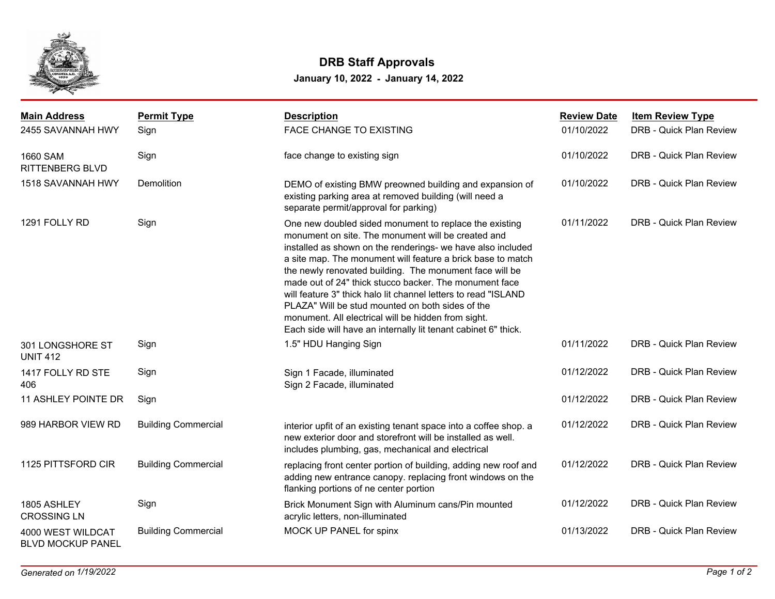

## **DRB Staff Approvals**

**January 10, 2022 - January 14, 2022**

| <b>Main Address</b>                           | <b>Permit Type</b>         | <b>Description</b>                                                                                                                                                                                                                                                                                                                                                                                                                                                                                                                                                                                             | <b>Review Date</b> | <b>Item Review Type</b>        |
|-----------------------------------------------|----------------------------|----------------------------------------------------------------------------------------------------------------------------------------------------------------------------------------------------------------------------------------------------------------------------------------------------------------------------------------------------------------------------------------------------------------------------------------------------------------------------------------------------------------------------------------------------------------------------------------------------------------|--------------------|--------------------------------|
| 2455 SAVANNAH HWY                             | Sign                       | <b>FACE CHANGE TO EXISTING</b>                                                                                                                                                                                                                                                                                                                                                                                                                                                                                                                                                                                 | 01/10/2022         | <b>DRB - Quick Plan Review</b> |
| 1660 SAM<br><b>RITTENBERG BLVD</b>            | Sign                       | face change to existing sign                                                                                                                                                                                                                                                                                                                                                                                                                                                                                                                                                                                   | 01/10/2022         | DRB - Quick Plan Review        |
| 1518 SAVANNAH HWY                             | Demolition                 | DEMO of existing BMW preowned building and expansion of<br>existing parking area at removed building (will need a<br>separate permit/approval for parking)                                                                                                                                                                                                                                                                                                                                                                                                                                                     | 01/10/2022         | DRB - Quick Plan Review        |
| 1291 FOLLY RD                                 | Sign                       | One new doubled sided monument to replace the existing<br>monument on site. The monument will be created and<br>installed as shown on the renderings- we have also included<br>a site map. The monument will feature a brick base to match<br>the newly renovated building. The monument face will be<br>made out of 24" thick stucco backer. The monument face<br>will feature 3" thick halo lit channel letters to read "ISLAND<br>PLAZA" Will be stud mounted on both sides of the<br>monument. All electrical will be hidden from sight.<br>Each side will have an internally lit tenant cabinet 6" thick. | 01/11/2022         | DRB - Quick Plan Review        |
| 301 LONGSHORE ST<br><b>UNIT 412</b>           | Sign                       | 1.5" HDU Hanging Sign                                                                                                                                                                                                                                                                                                                                                                                                                                                                                                                                                                                          | 01/11/2022         | DRB - Quick Plan Review        |
| 1417 FOLLY RD STE<br>406                      | Sign                       | Sign 1 Facade, illuminated<br>Sign 2 Facade, illuminated                                                                                                                                                                                                                                                                                                                                                                                                                                                                                                                                                       | 01/12/2022         | DRB - Quick Plan Review        |
| 11 ASHLEY POINTE DR                           | Sign                       |                                                                                                                                                                                                                                                                                                                                                                                                                                                                                                                                                                                                                | 01/12/2022         | DRB - Quick Plan Review        |
| 989 HARBOR VIEW RD                            | <b>Building Commercial</b> | interior upfit of an existing tenant space into a coffee shop. a<br>new exterior door and storefront will be installed as well.<br>includes plumbing, gas, mechanical and electrical                                                                                                                                                                                                                                                                                                                                                                                                                           | 01/12/2022         | DRB - Quick Plan Review        |
| 1125 PITTSFORD CIR                            | <b>Building Commercial</b> | replacing front center portion of building, adding new roof and<br>adding new entrance canopy. replacing front windows on the<br>flanking portions of ne center portion                                                                                                                                                                                                                                                                                                                                                                                                                                        | 01/12/2022         | DRB - Quick Plan Review        |
| 1805 ASHLEY<br><b>CROSSING LN</b>             | Sign                       | Brick Monument Sign with Aluminum cans/Pin mounted<br>acrylic letters, non-illuminated                                                                                                                                                                                                                                                                                                                                                                                                                                                                                                                         | 01/12/2022         | DRB - Quick Plan Review        |
| 4000 WEST WILDCAT<br><b>BLVD MOCKUP PANEL</b> | <b>Building Commercial</b> | MOCK UP PANEL for spinx                                                                                                                                                                                                                                                                                                                                                                                                                                                                                                                                                                                        | 01/13/2022         | DRB - Quick Plan Review        |